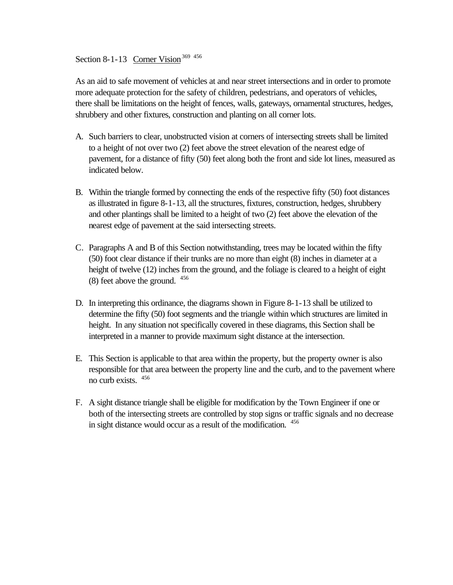## Section 8-1-13 Corner Vision 369 456

As an aid to safe movement of vehicles at and near street intersections and in order to promote more adequate protection for the safety of children, pedestrians, and operators of vehicles, there shall be limitations on the height of fences, walls, gateways, ornamental structures, hedges, shrubbery and other fixtures, construction and planting on all corner lots.

- A. Such barriers to clear, unobstructed vision at corners of intersecting streets shall be limited to a height of not over two (2) feet above the street elevation of the nearest edge of pavement, for a distance of fifty (50) feet along both the front and side lot lines, measured as indicated below.
- B. Within the triangle formed by connecting the ends of the respective fifty (50) foot distances as illustrated in figure 8-1-13, all the structures, fixtures, construction, hedges, shrubbery and other plantings shall be limited to a height of two (2) feet above the elevation of the nearest edge of pavement at the said intersecting streets.
- C. Paragraphs A and B of this Section notwithstanding, trees may be located within the fifty (50) foot clear distance if their trunks are no more than eight (8) inches in diameter at a height of twelve (12) inches from the ground, and the foliage is cleared to a height of eight  $(8)$  feet above the ground.  $456$
- D. In interpreting this ordinance, the diagrams shown in Figure 8-1-13 shall be utilized to determine the fifty (50) foot segments and the triangle within which structures are limited in height. In any situation not specifically covered in these diagrams, this Section shall be interpreted in a manner to provide maximum sight distance at the intersection.
- E. This Section is applicable to that area within the property, but the property owner is also responsible for that area between the property line and the curb, and to the pavement where no curb exists. <sup>456</sup>
- F. A sight distance triangle shall be eligible for modification by the Town Engineer if one or both of the intersecting streets are controlled by stop signs or traffic signals and no decrease in sight distance would occur as a result of the modification. <sup>456</sup>